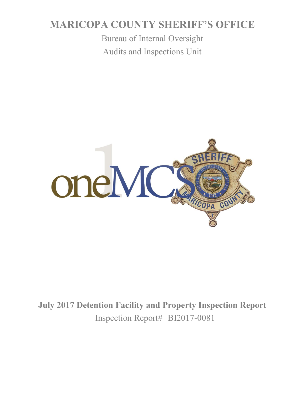# **MARICOPA COUNTY SHERIFF'S OFFICE**

Bureau of Internal Oversight Audits and Inspections Unit



**July 2017 Detention Facility and Property Inspection Report** Inspection Report# BI2017-0081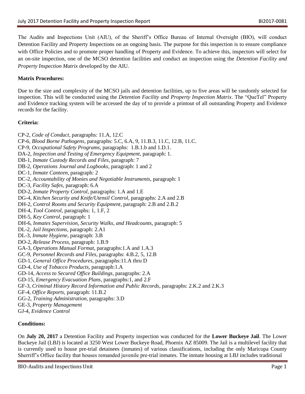The Audits and Inspections Unit (AIU), of the Sheriff's Office Bureau of Internal Oversight (BIO), will conduct Detention Facility and Property Inspections on an ongoing basis. The purpose for this inspection is to ensure compliance with Office Policies and to promote proper handling of Property and Evidence. To achieve this, inspectors will select for an on-site inspection, one of the MCSO detention facilities and conduct an inspection using the *Detention Facility and Property Inspection Matrix* developed by the AIU.

## **Matrix Procedures:**

Due to the size and complexity of the MCSO jails and detention facilities, up to five areas will be randomly selected for inspection. This will be conducted using the *Detention Facility and Property Inspection Matrix*. The "QueTel" Property and Evidence tracking system will be accessed the day of to provide a printout of all outstanding Property and Evidence records for the facility.

## **Criteria:**

- CP-2, *Code of Conduct,* paragraphs: 11.A, 12.C
- CP-6, *Blood Borne Pathogens*, paragraphs: 5.C, 6.A, 9, 11.B.3, 11.C, 12.B, 11.C.
- CP-9, *Occupational Safety Programs*, paragraphs: 1.B.1.b and 1.D.1.
- DA-2, *Inspection and Testing of Emergency Equipment*, paragraph: 1.
- DB-1, *Inmate Custody Records and Files*, paragraph: 7
- DB-2, *Operations Journal and Logbooks*, paragraph: 1 and 2
- DC-1, *Inmate Canteen*, paragraph: 2
- DC-2, *Accountability of Monies and Negotiable Instruments*, paragraph: 1
- DC-3, *Facility Safes*, paragraph: 6.A
- DD-2, *Inmate Property Control*, paragraphs: 1.A and 1.E
- DG-4, *Kitchen Security and Knife/Utensil Control*, paragraphs: 2.A and 2.B
- DH-2, *Control Rooms and Security Equipment*, paragraph: 2.B and 2.B.2
- DH-4, *Tool Control*, paragraphs: 1, 1.F, 2
- DH-5, *Key Control*, paragraph: 1
- DH-6, *Inmates Supervision, Security Walks, and Headcounts*, paragraph: 5
- DL-2, *Jail Inspections*, paragraph: 2.A1
- DL-3, *Inmate Hygiene*, paragraph: 3.B
- DO-2, *Release Process*, paragraph: 1.B.9
- GA-3, *Operations Manual Format*, paragraphs:1.A and 1.A.3
- GC-9, *Personnel Records and Files*, paragraphs: 4.B.2, 5, 12.B
- GD-1, *General Office Procedures*, paragraphs:11.A thru D
- GD-4, *Use of Tobacco Products*, paragraph:1.A
- GD-14, *Access to Secured Office Buildings*, paragraphs: 2.A
- GD-15, *Emergency Evacuation Plans*, paragraphs:1, and 2.F
- GF-3, *Criminal History Record Information and Public Records*, paragraphs: 2.K.2 and 2.K.3
- GF-4, *Office Reports*, paragraph: 11.B.2
- GG-2, *Training Administration*, paragraphs: 3.D
- GE-3, *Property Management*
- GJ-4, *Evidence Control*

## **Conditions:**

On **July 20, 2017** a Detention Facility and Property inspection was conducted for the **Lower Buckeye Jail**. The Lower Buckeye Jail (LBJ) is located at 3250 West Lower Buckeye Road, Phoenix AZ 85009. The Jail is a multilevel facility that is currently used to house pre-trial detainees (inmates) of various classifications, including the only Maricopa County Sherriff's Office facility that houses remanded juvenile pre-trial inmates. The inmate housing at LBJ includes traditional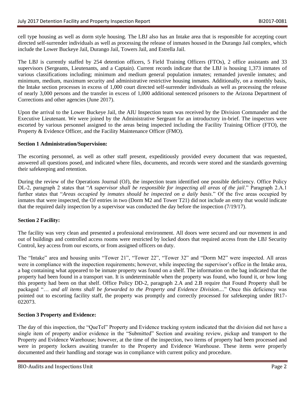cell type housing as well as dorm style housing. The LBJ also has an Intake area that is responsible for accepting court directed self-surrender individuals as well as processing the release of inmates housed in the Durango Jail complex, which include the Lower Buckeye Jail, Durango Jail, Towers Jail, and Estrella Jail.

The LBJ is currently staffed by 254 detention officers, 5 Field Training Officers (FTOs), 2 office assistants and 33 supervisors (Sergeants, Lieutenants, and a Captain). Current records indicate that the LBJ is housing 1,373 inmates of various classifications including; minimum and medium general population inmates; remanded juvenile inmates; and minimum, medium, maximum security and administrative restrictive housing inmates. Additionally, on a monthly basis, the Intake section processes in excess of 1,000 court directed self-surrender individuals as well as processing the release of nearly 3,000 persons and the transfer in excess of 1,000 additional sentenced prisoners to the Arizona Department of Corrections and other agencies (June 2017).

Upon the arrival to the Lower Buckeye Jail, the AIU Inspection team was received by the Division Commander and the Executive Lieutenant. We were joined by the Administrative Sergeant for an introductory in-brief. The inspectors were escorted by various personnel assigned to the areas being inspected including the Facility Training Officer (FTO), the Property & Evidence Officer, and the Facility Maintenance Officer (FMO).

### **Section 1 Administration/Supervision:**

The escorting personnel, as well as other staff present, expeditiously provided every document that was requested, answered all questions posed, and indicated where files, documents, and records were stored and the standards governing their safekeeping and retention.

During the review of the Operations Journal (OJ), the inspection team identified one possible deficiency. Office Policy DL-2, paragraph 2 states that "*A supervisor shall be responsible for inspecting all areas of the jail*." Paragraph 2.A.1 further states that "*Areas occupied by inmates should be inspected on a daily basis*." Of the five areas occupied by inmates that were inspected, the OJ entries in two (Dorm M2 and Tower T21) did not include an entry that would indicate that the required daily inspection by a supervisor was conducted the day before the inspection (7/19/17).

### **Section 2 Facility:**

The facility was very clean and presented a professional environment. All doors were secured and our movement in and out of buildings and controlled access rooms were restricted by locked doors that required access from the LBJ Security Control, key access from our escorts, or from assigned officers on duty.

The "Intake" area and housing units "Tower 21", "Tower 22", "Tower 32" and "Dorm M2" were inspected. All areas were in compliance with the inspection requirements; however, while inspecting the supervisor's office in the Intake area, a bag containing what appeared to be inmate property was found on a shelf. The information on the bag indicated that the property had been found in a transport van. It is undeterminable when the property was found, who found it, or how long this property had been on that shelf. Office Policy DD-2, paragraph 2.A and 2.B require that Found Property shall be packaged "… *and all items shall be forwarded to the Property and Evidence Division...*." Once this deficiency was pointed out to escorting facility staff, the property was promptly and correctly processed for safekeeping under IR17- 022073.

### **Section 3 Property and Evidence:**

The day of this inspection, the "QueTel" Property and Evidence tracking system indicated that the division did not have a single item of property and/or evidence in the "Submitted" Section and awaiting review, pickup and transport to the Property and Evidence Warehouse; however, at the time of the inspection, two items of property had been processed and were in property lockers awaiting transfer to the Property and Evidence Warehouse. These items were properly documented and their handling and storage was in compliance with current policy and procedure.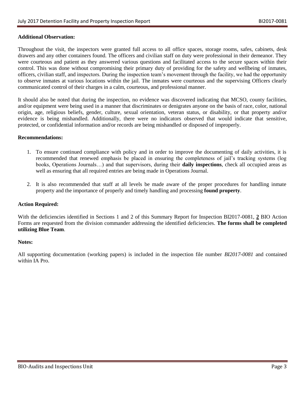### **Additional Observation:**

Throughout the visit, the inspectors were granted full access to all office spaces, storage rooms, safes, cabinets, desk drawers and any other containers found. The officers and civilian staff on duty were professional in their demeanor. They were courteous and patient as they answered various questions and facilitated access to the secure spaces within their control. This was done without compromising their primary duty of providing for the safety and wellbeing of inmates, officers, civilian staff, and inspectors. During the inspection team's movement through the facility, we had the opportunity to observe inmates at various locations within the jail. The inmates were courteous and the supervising Officers clearly communicated control of their charges in a calm, courteous, and professional manner.

It should also be noted that during the inspection, no evidence was discovered indicating that MCSO, county facilities, and/or equipment were being used in a manner that discriminates or denigrates anyone on the basis of race, color, national origin, age, religious beliefs, gender, culture, sexual orientation, veteran status, or disability, or that property and/or evidence is being mishandled. Additionally, there were no indicators observed that would indicate that sensitive, protected, or confidential information and/or records are being mishandled or disposed of improperly.

#### **Recommendations:**

- 1. To ensure continued compliance with policy and in order to improve the documenting of daily activities, it is recommended that renewed emphasis be placed in ensuring the completeness of jail's tracking systems (log books, Operations Journals…) and that supervisors, during their **daily inspections**, check all occupied areas as well as ensuring that all required entries are being made in Operations Journal.
- 2. It is also recommended that staff at all levels be made aware of the proper procedures for handling inmate property and the importance of properly and timely handling and processing **found property**.

### **Action Required:**

With the deficiencies identified in Sections 1 and 2 of this Summary Report for Inspection BI2017-0081, **2** BIO Action Forms are requested from the division commander addressing the identified deficiencies. **The forms shall be completed utilizing Blue Team**.

#### **Notes:**

All supporting documentation (working papers) is included in the inspection file number *BI2017-0081* and contained within IA Pro.